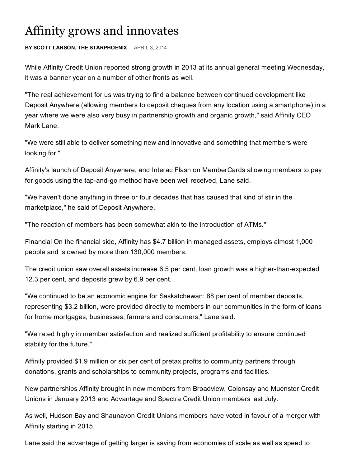## Affinity grows and innovates

## **BY SCOTT LARSON, THE STARPHOENIX** APRIL 3, 2014

While Affinity Credit Union reported strong growth in 2013 at its annual general meeting Wednesday, it was a banner year on a number of other fronts as well.

"The real achievement for us was trying to find a balance between continued development like Deposit Anywhere (allowing members to deposit cheques from any location using a smartphone) in a year where we were also very busy in partnership growth and organic growth," said Affinity CEO Mark Lane.

"We were still able to deliver something new and innovative and something that members were looking for."

Affinity's launch of Deposit Anywhere, and Interac Flash on MemberCards allowing members to pay for goods using the tap-and-go method have been well received, Lane said.

"We haven't done anything in three or four decades that has caused that kind of stir in the marketplace," he said of Deposit Anywhere.

"The reaction of members has been somewhat akin to the introduction of ATMs."

Financial On the financial side, Affinity has \$4.7 billion in managed assets, employs almost 1,000 people and is owned by more than 130,000 members.

The credit union saw overall assets increase 6.5 per cent, loan growth was a higher-than-expected 12.3 per cent, and deposits grew by 6.9 per cent.

"We continued to be an economic engine for Saskatchewan: 88 per cent of member deposits, representing \$3.2 billion, were provided directly to members in our communities in the form of loans for home mortgages, businesses, farmers and consumers," Lane said.

"We rated highly in member satisfaction and realized sufficient profitability to ensure continued stability for the future."

Affinity provided \$1.9 million or six per cent of pretax profits to community partners through donations, grants and scholarships to community projects, programs and facilities.

New partnerships Affinity brought in new members from Broadview, Colonsay and Muenster Credit Unions in January 2013 and Advantage and Spectra Credit Union members last July.

As well, Hudson Bay and Shaunavon Credit Unions members have voted in favour of a merger with Affinity starting in 2015.

Lane said the advantage of getting larger is saving from economies of scale as well as speed to